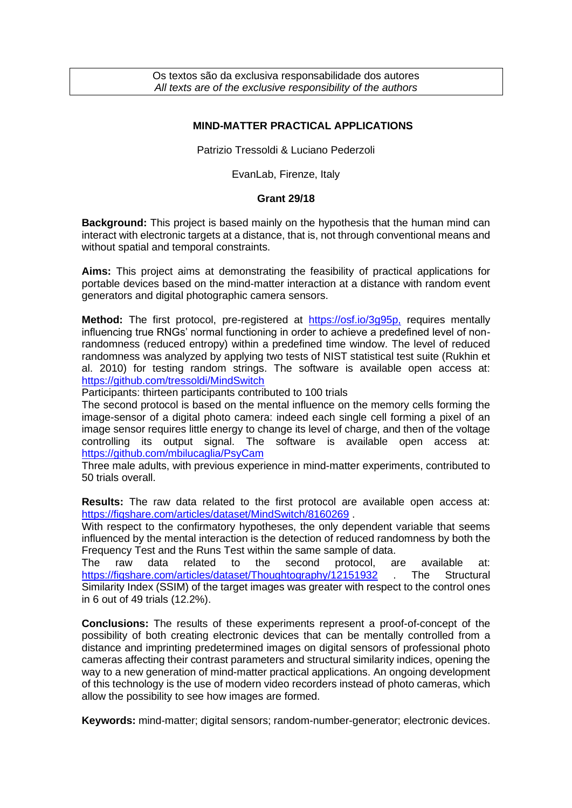Os textos são da exclusiva responsabilidade dos autores *All texts are of the exclusive responsibility of the authors*

## **MIND-MATTER PRACTICAL APPLICATIONS**

Patrizio Tressoldi & Luciano Pederzoli

EvanLab, Firenze, Italy

## **Grant 29/18**

**Background:** This project is based mainly on the hypothesis that the human mind can interact with electronic targets at a distance, that is, not through conventional means and without spatial and temporal constraints.

**Aims:** This project aims at demonstrating the feasibility of practical applications for portable devices based on the mind-matter interaction at a distance with random event generators and digital photographic camera sensors.

**Method:** The first protocol, pre-registered at [https://osf.io/3g95p,](https://osf.io/3g95p) requires mentally influencing true RNGs' normal functioning in order to achieve a predefined level of nonrandomness (reduced entropy) within a predefined time window. The level of reduced randomness was analyzed by applying two tests of NIST statistical test suite (Rukhin et al. 2010) for testing random strings. The software is available open access at: <https://github.com/tressoldi/MindSwitch>

Participants: thirteen participants contributed to 100 trials

The second protocol is based on the mental influence on the memory cells forming the image-sensor of a digital photo camera: indeed each single cell forming a pixel of an image sensor requires little energy to change its level of charge, and then of the voltage controlling its output signal. The software is available open access at: <https://github.com/mbilucaglia/PsyCam>

Three male adults, with previous experience in mind-matter experiments, contributed to 50 trials overall.

**Results:** The raw data related to the first protocol are available open access at: <https://figshare.com/articles/dataset/MindSwitch/8160269>.

With respect to the confirmatory hypotheses, the only dependent variable that seems influenced by the mental interaction is the detection of reduced randomness by both the Frequency Test and the Runs Test within the same sample of data.

The raw data related to the second protocol, are available at: <https://figshare.com/articles/dataset/Thoughtography/12151932> The Structural Similarity Index (SSIM) of the target images was greater with respect to the control ones in 6 out of 49 trials (12.2%).

**Conclusions:** The results of these experiments represent a proof-of-concept of the possibility of both creating electronic devices that can be mentally controlled from a distance and imprinting predetermined images on digital sensors of professional photo cameras affecting their contrast parameters and structural similarity indices, opening the way to a new generation of mind-matter practical applications. An ongoing development of this technology is the use of modern video recorders instead of photo cameras, which allow the possibility to see how images are formed.

**Keywords:** mind-matter; digital sensors; random-number-generator; electronic devices.